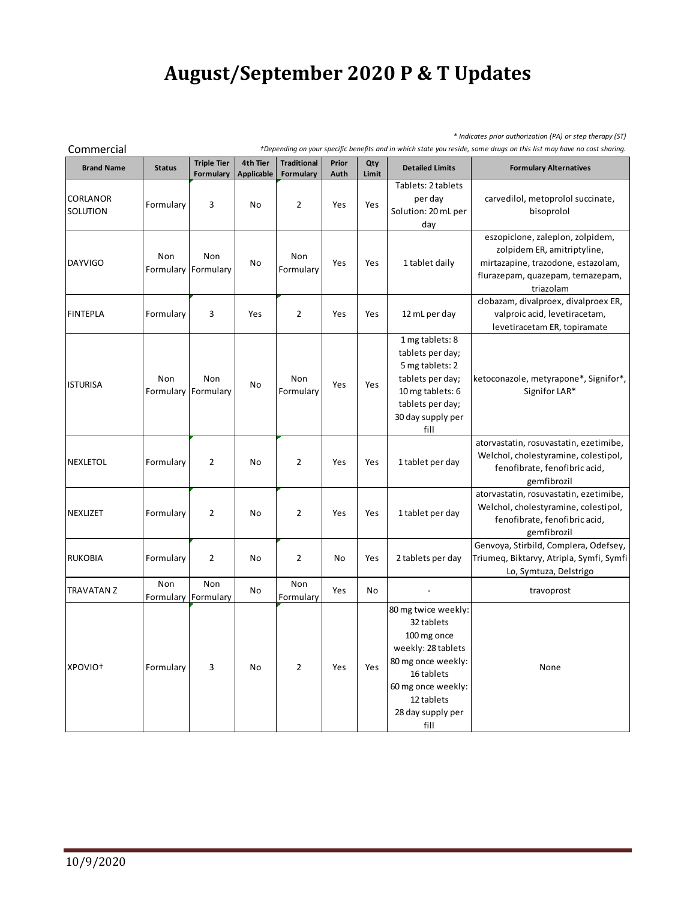## **August/September 2020 P & T Updates**

*\* Indicates prior authorization (PA) or step therapy (ST)*

| Commercial                  | +Depending on your specific benefits and in which state you reside, some drugs on this list may have no cost sharing. |                                 |                               |                                 |               |              |                                                                                                                                                                             |                                                                                                                                                        |  |
|-----------------------------|-----------------------------------------------------------------------------------------------------------------------|---------------------------------|-------------------------------|---------------------------------|---------------|--------------|-----------------------------------------------------------------------------------------------------------------------------------------------------------------------------|--------------------------------------------------------------------------------------------------------------------------------------------------------|--|
| <b>Brand Name</b>           | <b>Status</b>                                                                                                         | <b>Triple Tier</b><br>Formulary | 4th Tier<br><b>Applicable</b> | <b>Traditional</b><br>Formulary | Prior<br>Auth | Qty<br>Limit | <b>Detailed Limits</b>                                                                                                                                                      | <b>Formulary Alternatives</b>                                                                                                                          |  |
| <b>CORLANOR</b><br>SOLUTION | Formulary                                                                                                             | 3                               | No                            | $\overline{2}$                  | Yes           | Yes          | Tablets: 2 tablets<br>per day<br>Solution: 20 mL per<br>day                                                                                                                 | carvedilol, metoprolol succinate,<br>bisoprolol                                                                                                        |  |
| <b>DAYVIGO</b>              | Non<br>Formulary                                                                                                      | Non<br>Formulary                | No                            | Non<br>Formulary                | Yes           | Yes          | 1 tablet daily                                                                                                                                                              | eszopiclone, zaleplon, zolpidem,<br>zolpidem ER, amitriptyline,<br>mirtazapine, trazodone, estazolam,<br>flurazepam, quazepam, temazepam,<br>triazolam |  |
| <b>FINTEPLA</b>             | Formulary                                                                                                             | 3                               | Yes                           | $\overline{2}$                  | Yes           | Yes          | 12 mL per day                                                                                                                                                               | clobazam, divalproex, divalproex ER,<br>valproic acid, levetiracetam,<br>levetiracetam ER, topiramate                                                  |  |
| <b>ISTURISA</b>             | Non<br>Formulary Formulary                                                                                            | Non                             | No                            | Non<br>Formulary                | Yes           | Yes          | 1 mg tablets: 8<br>tablets per day;<br>5 mg tablets: 2<br>tablets per day;<br>10 mg tablets: 6<br>tablets per day;<br>30 day supply per<br>fill                             | ketoconazole, metyrapone*, Signifor*,<br>Signifor LAR*                                                                                                 |  |
| <b>NEXLETOL</b>             | Formulary                                                                                                             | $\overline{2}$                  | No                            | $\overline{2}$                  | Yes           | Yes          | 1 tablet per day                                                                                                                                                            | atorvastatin, rosuvastatin, ezetimibe,<br>Welchol, cholestyramine, colestipol,<br>fenofibrate, fenofibric acid,<br>gemfibrozil                         |  |
| <b>NEXLIZET</b>             | Formulary                                                                                                             | $\overline{2}$                  | No                            | $\overline{2}$                  | Yes           | Yes          | 1 tablet per day                                                                                                                                                            | atorvastatin, rosuvastatin, ezetimibe,<br>Welchol, cholestyramine, colestipol,<br>fenofibrate, fenofibric acid,<br>gemfibrozil                         |  |
| <b>RUKOBIA</b>              | Formulary                                                                                                             | $\overline{2}$                  | No                            | $\overline{2}$                  | No            | Yes          | 2 tablets per day                                                                                                                                                           | Genvoya, Stirbild, Complera, Odefsey,<br>Triumeg, Biktarvy, Atripla, Symfi, Symfi<br>Lo, Symtuza, Delstrigo                                            |  |
| <b>TRAVATAN Z</b>           | Non                                                                                                                   | Non<br>Formulary Formulary      | No                            | Non<br>Formulary                | Yes           | No           |                                                                                                                                                                             | travoprost                                                                                                                                             |  |
| XPOVIO <sup>+</sup>         | Formulary                                                                                                             | 3                               | No                            | $\overline{2}$                  | Yes           | Yes          | 80 mg twice weekly:<br>32 tablets<br>100 mg once<br>weekly: 28 tablets<br>80 mg once weekly:<br>16 tablets<br>60 mg once weekly:<br>12 tablets<br>28 day supply per<br>fill | None                                                                                                                                                   |  |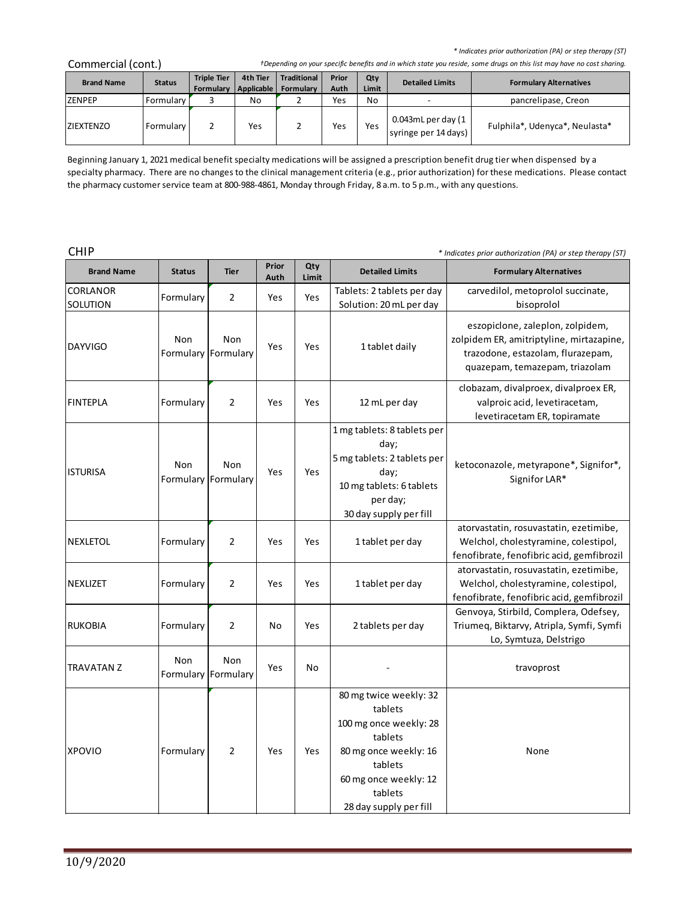| Commercial (cont.) | +Depending on your specific benefits and in which state you reside, some drugs on this list may have no cost sharing. |
|--------------------|-----------------------------------------------------------------------------------------------------------------------|
|--------------------|-----------------------------------------------------------------------------------------------------------------------|

| * Indicates prior authorization (PA) or step therapy (ST)<br>Commercial (cont.)<br>+Depending on your specific benefits and in which state you reside, some drugs on this list may have no cost sharing. |               |                                 |                        |                                        |               |              |                                               |                                |  |
|----------------------------------------------------------------------------------------------------------------------------------------------------------------------------------------------------------|---------------|---------------------------------|------------------------|----------------------------------------|---------------|--------------|-----------------------------------------------|--------------------------------|--|
| <b>Brand Name</b>                                                                                                                                                                                        | <b>Status</b> | <b>Triple Tier</b><br>Formulary | 4th Tier<br>Applicable | <b>Traditional</b><br><b>Formulary</b> | Prior<br>Auth | Qty<br>Limit | <b>Detailed Limits</b>                        | <b>Formulary Alternatives</b>  |  |
| <b>ZENPEP</b>                                                                                                                                                                                            | Formulary     |                                 | No                     |                                        | Yes           | No           |                                               | pancrelipase, Creon            |  |
| <b>ZIEXTENZO</b>                                                                                                                                                                                         | Formulary     | 2                               | Yes                    |                                        | Yes           | Yes          | $0.043$ mL per day (1<br>syringe per 14 days) | Fulphila*, Udenyca*, Neulasta* |  |

Beginning January 1, 2021 medical benefit specialty medications will be assigned a prescription benefit drug tier when dispensed by a specialty pharmacy. There are no changes to the clinical management criteria (e.g., prior authorization) for these medications. Please contact the pharmacy customer service team at 800-988-4861, Monday through Friday, 8 a.m. to 5 p.m., with any questions.

CHIP *\* Indicates prior authorization (PA) or step therapy (ST)*

| <b>Brand Name</b>    | <b>Status</b> | <b>Tier</b>                       | Prior<br>Auth | Qty<br>Limit | <b>Detailed Limits</b>                                                                                                                                                   | <b>Formulary Alternatives</b>                                                                                                                       |
|----------------------|---------------|-----------------------------------|---------------|--------------|--------------------------------------------------------------------------------------------------------------------------------------------------------------------------|-----------------------------------------------------------------------------------------------------------------------------------------------------|
| CORLANOR<br>SOLUTION | Formulary     | $\overline{2}$                    | Yes           | Yes          | Tablets: 2 tablets per day<br>Solution: 20 mL per day                                                                                                                    | carvedilol, metoprolol succinate,<br>bisoprolol                                                                                                     |
| <b>DAYVIGO</b>       | Non           | <b>Non</b><br>Formulary Formulary | Yes           | Yes          | 1 tablet daily                                                                                                                                                           | eszopiclone, zaleplon, zolpidem,<br>zolpidem ER, amitriptyline, mirtazapine,<br>trazodone, estazolam, flurazepam,<br>quazepam, temazepam, triazolam |
| FINTEPLA             | Formulary     | 2                                 | Yes           | Yes          | 12 mL per day                                                                                                                                                            | clobazam, divalproex, divalproex ER,<br>valproic acid, levetiracetam,<br>levetiracetam ER, topiramate                                               |
| <b>ISTURISA</b>      | Non           | Non<br>Formulary Formulary        | Yes           | Yes          | 1 mg tablets: 8 tablets per<br>day;<br>5 mg tablets: 2 tablets per<br>day;<br>10 mg tablets: 6 tablets<br>per day;<br>30 day supply per fill                             | ketoconazole, metyrapone*, Signifor*,<br>Signifor LAR*                                                                                              |
| <b>NEXLETOL</b>      | Formulary     | $\overline{2}$                    | Yes           | Yes          | 1 tablet per day                                                                                                                                                         | atorvastatin, rosuvastatin, ezetimibe,<br>Welchol, cholestyramine, colestipol,<br>fenofibrate, fenofibric acid, gemfibrozil                         |
| NEXLIZET             | Formulary     | 2                                 | Yes           | Yes          | 1 tablet per day                                                                                                                                                         | atorvastatin, rosuvastatin, ezetimibe,<br>Welchol, cholestyramine, colestipol,<br>fenofibrate, fenofibric acid, gemfibrozil                         |
| <b>RUKOBIA</b>       | Formulary     | $\overline{2}$                    | No            | Yes          | 2 tablets per day                                                                                                                                                        | Genvoya, Stirbild, Complera, Odefsey,<br>Triumeq, Biktarvy, Atripla, Symfi, Symfi<br>Lo, Symtuza, Delstrigo                                         |
| <b>TRAVATAN Z</b>    | Non           | <b>Non</b><br>Formulary Formulary | Yes           | No           |                                                                                                                                                                          | travoprost                                                                                                                                          |
| <b>XPOVIO</b>        | Formulary     | $\overline{2}$                    | Yes           | Yes          | 80 mg twice weekly: 32<br>tablets<br>100 mg once weekly: 28<br>tablets<br>80 mg once weekly: 16<br>tablets<br>60 mg once weekly: 12<br>tablets<br>28 day supply per fill | None                                                                                                                                                |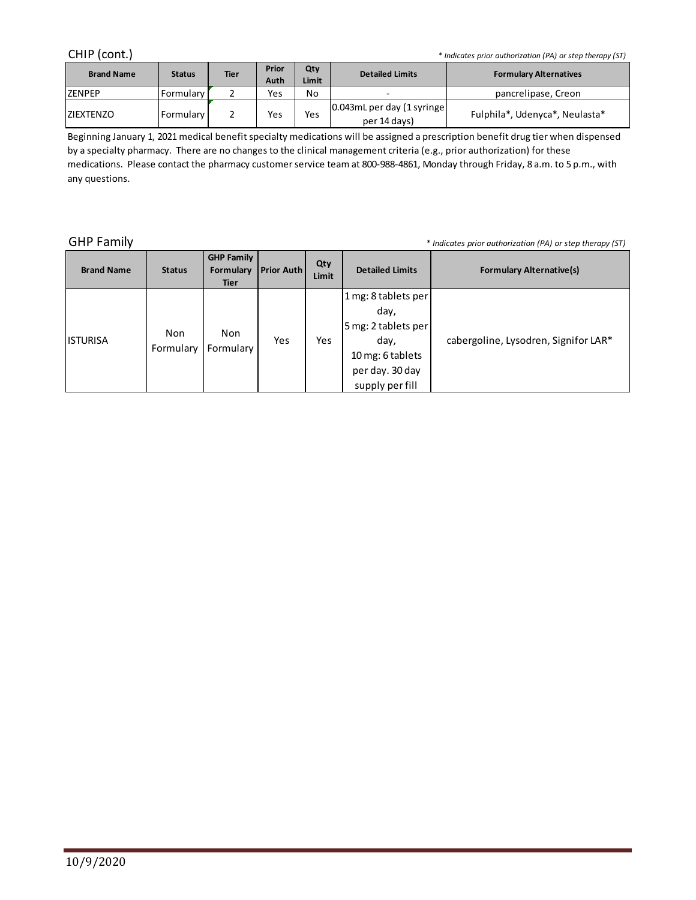| CHIP (cont.)<br>* Indicates prior authorization (PA) or step therapy (ST) |               |             |               |              |                                            |                                |  |  |  |
|---------------------------------------------------------------------------|---------------|-------------|---------------|--------------|--------------------------------------------|--------------------------------|--|--|--|
| <b>Brand Name</b>                                                         | <b>Status</b> | <b>Tier</b> | Prior<br>Auth | Qty<br>Limit | <b>Detailed Limits</b>                     | <b>Formulary Alternatives</b>  |  |  |  |
| <b>ZENPEP</b>                                                             | Formulary     |             | Yes           | No           |                                            | pancrelipase, Creon            |  |  |  |
| <b>IZIEXTENZO</b>                                                         | Formulary     |             | Yes           | Yes          | 0.043mL per day (1 syringe<br>per 14 days) | Fulphila*, Udenyca*, Neulasta* |  |  |  |

Beginning January 1, 2021 medical benefit specialty medications will be assigned a prescription benefit drug tier when dispensed by a specialty pharmacy. There are no changes to the clinical management criteria (e.g., prior authorization) for these medications. Please contact the pharmacy customer service team at 800-988-4861, Monday through Friday, 8 a.m. to 5 p.m., with any questions.

GHP Family *\* Indicates prior authorization (PA) or step therapy (ST)*

| <b>Brand Name</b> | <b>Status</b>    | <b>GHP Family</b><br>Formulary<br><b>Tier</b> | <b>Prior Auth</b> | Qty<br>Limit | <b>Detailed Limits</b>                                                                                               | <b>Formulary Alternative(s)</b>      |
|-------------------|------------------|-----------------------------------------------|-------------------|--------------|----------------------------------------------------------------------------------------------------------------------|--------------------------------------|
| <b>ISTURISA</b>   | Non<br>Formulary | Non<br>Formulary                              | Yes               | <b>Yes</b>   | 1 mg: 8 tablets per<br>day,<br>5 mg: 2 tablets per<br>day,<br>10 mg: 6 tablets<br>per day. 30 day<br>supply per fill | cabergoline, Lysodren, Signifor LAR* |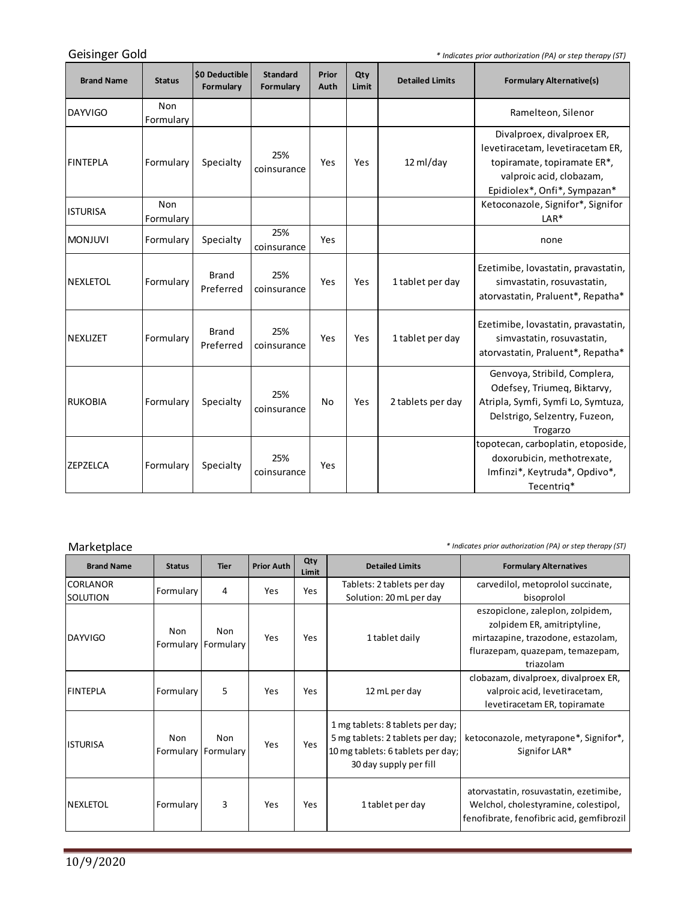Geisinger Gold

*\* Indicates prior authorization (PA) or step therapy (ST)*

| <b>Brand Name</b> | <b>Status</b>    | \$0 Deductible<br>Formulary | <b>Standard</b><br>Formulary | Prior<br>Auth | Qty<br>Limit | <b>Detailed Limits</b> | <b>Formulary Alternative(s)</b>                                                                                                                           |
|-------------------|------------------|-----------------------------|------------------------------|---------------|--------------|------------------------|-----------------------------------------------------------------------------------------------------------------------------------------------------------|
| DAYVIGO           | Non<br>Formulary |                             |                              |               |              |                        | Ramelteon, Silenor                                                                                                                                        |
| <b>FINTEPLA</b>   | Formulary        | Specialty                   | 25%<br>coinsurance           | Yes           | Yes          | 12 ml/day              | Divalproex, divalproex ER,<br>levetiracetam, levetiracetam ER,<br>topiramate, topiramate ER*,<br>valproic acid, clobazam,<br>Epidiolex*, Onfi*, Sympazan* |
| <b>ISTURISA</b>   | Non<br>Formulary |                             |                              |               |              |                        | Ketoconazole, Signifor*, Signifor<br>$LAR*$                                                                                                               |
| <b>IMONJUVI</b>   | Formulary        | Specialty                   | 25%<br>coinsurance           | Yes           |              |                        | none                                                                                                                                                      |
| <b>NEXLETOL</b>   | Formulary        | <b>Brand</b><br>Preferred   | 25%<br>coinsurance           | Yes           | Yes          | 1 tablet per day       | Ezetimibe, lovastatin, pravastatin,<br>simvastatin, rosuvastatin,<br>atorvastatin, Praluent*, Repatha*                                                    |
| <b>INEXLIZET</b>  | Formulary        | <b>Brand</b><br>Preferred   | 25%<br>coinsurance           | Yes           | Yes          | 1 tablet per day       | Ezetimibe, lovastatin, pravastatin,<br>simvastatin, rosuvastatin,<br>atorvastatin, Praluent*, Repatha*                                                    |
| RUKOBIA           | Formulary        | Specialty                   | 25%<br>coinsurance           | No            | Yes          | 2 tablets per day      | Genvoya, Stribild, Complera,<br>Odefsey, Triumeg, Biktarvy,<br>Atripla, Symfi, Symfi Lo, Symtuza,<br>Delstrigo, Selzentry, Fuzeon,<br>Trogarzo            |
| <b>ZEPZELCA</b>   | Formulary        | Specialty                   | 25%<br>coinsurance           | Yes           |              |                        | topotecan, carboplatin, etoposide,<br>doxorubicin, methotrexate,<br>Imfinzi*, Keytruda*, Opdivo*,<br>Tecentrig*                                           |

Marketplace *\* Indicates prior authorization (PA) or step therapy (ST)*

m.

| <b>Brand Name</b>           | <b>Status</b>                     | <b>Tier</b> | <b>Prior Auth</b> | Qty<br>Limit | <b>Detailed Limits</b>                                                                                                              | <b>Formulary Alternatives</b>                                                                                                                                        |
|-----------------------------|-----------------------------------|-------------|-------------------|--------------|-------------------------------------------------------------------------------------------------------------------------------------|----------------------------------------------------------------------------------------------------------------------------------------------------------------------|
| <b>CORLANOR</b><br>SOLUTION | Formulary                         | 4           | Yes               | Yes          | Tablets: 2 tablets per day                                                                                                          | carvedilol, metoprolol succinate,                                                                                                                                    |
| DAYVIGO                     | <b>Non</b><br>Formulary Formulary | Non         | Yes               | Yes          | Solution: 20 mL per day<br>1 tablet daily                                                                                           | bisoprolol<br>eszopicione, zaleplon, zolpidem,<br>zolpidem ER, amitriptyline,<br>mirtazapine, trazodone, estazolam,<br>flurazepam, quazepam, temazepam,<br>triazolam |
| <b>FINTEPLA</b>             | Formulary                         | 5           | Yes               | Yes          | 12 mL per day                                                                                                                       | clobazam, divalproex, divalproex ER,<br>valproic acid, levetiracetam,<br>levetiracetam ER, topiramate                                                                |
| <b>ISTURISA</b>             | <b>Non</b><br>Formulary Formulary | Non         | Yes               | <b>Yes</b>   | 1 mg tablets: 8 tablets per day;<br>5 mg tablets: 2 tablets per day;<br>10 mg tablets: 6 tablets per day;<br>30 day supply per fill | ketoconazole, metyrapone*, Signifor*,<br>Signifor LAR*                                                                                                               |
| <b>INEXLETOL</b>            | Formulary                         | 3           | Yes               | Yes          | 1 tablet per day                                                                                                                    | atorvastatin, rosuvastatin, ezetimibe,<br>Welchol, cholestyramine, colestipol,<br>fenofibrate, fenofibric acid, gemfibrozil                                          |